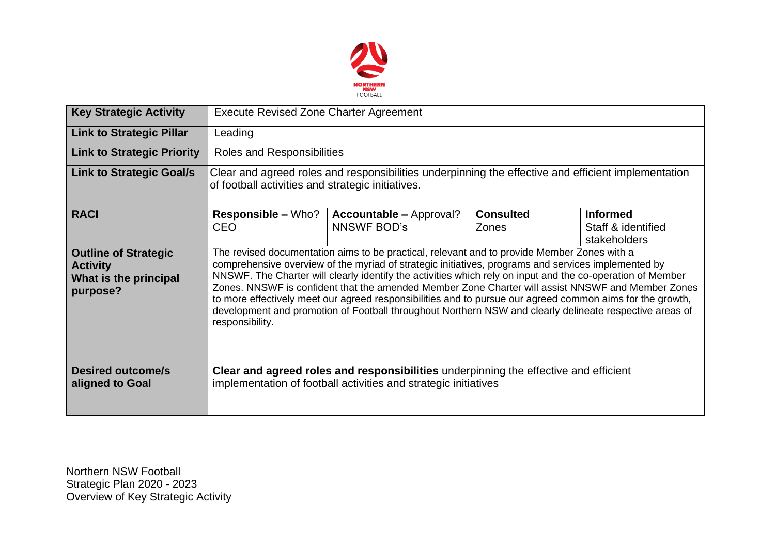

| <b>Key Strategic Activity</b>                                                       | <b>Execute Revised Zone Charter Agreement</b>                                                                                                                                                                                                                                                                                                                                                                                                                                                                                                                                                                                                                    |                                                      |                           |                                                       |  |  |  |
|-------------------------------------------------------------------------------------|------------------------------------------------------------------------------------------------------------------------------------------------------------------------------------------------------------------------------------------------------------------------------------------------------------------------------------------------------------------------------------------------------------------------------------------------------------------------------------------------------------------------------------------------------------------------------------------------------------------------------------------------------------------|------------------------------------------------------|---------------------------|-------------------------------------------------------|--|--|--|
| <b>Link to Strategic Pillar</b>                                                     | Leading                                                                                                                                                                                                                                                                                                                                                                                                                                                                                                                                                                                                                                                          |                                                      |                           |                                                       |  |  |  |
| <b>Link to Strategic Priority</b>                                                   | Roles and Responsibilities                                                                                                                                                                                                                                                                                                                                                                                                                                                                                                                                                                                                                                       |                                                      |                           |                                                       |  |  |  |
| <b>Link to Strategic Goal/s</b>                                                     | Clear and agreed roles and responsibilities underpinning the effective and efficient implementation<br>of football activities and strategic initiatives.                                                                                                                                                                                                                                                                                                                                                                                                                                                                                                         |                                                      |                           |                                                       |  |  |  |
| <b>RACI</b>                                                                         | <b>Responsible – Who?</b><br><b>CEO</b>                                                                                                                                                                                                                                                                                                                                                                                                                                                                                                                                                                                                                          | <b>Accountable – Approval?</b><br><b>NNSWF BOD's</b> | <b>Consulted</b><br>Zones | <b>Informed</b><br>Staff & identified<br>stakeholders |  |  |  |
| <b>Outline of Strategic</b><br><b>Activity</b><br>What is the principal<br>purpose? | The revised documentation aims to be practical, relevant and to provide Member Zones with a<br>comprehensive overview of the myriad of strategic initiatives, programs and services implemented by<br>NNSWF. The Charter will clearly identify the activities which rely on input and the co-operation of Member<br>Zones, NNSWF is confident that the amended Member Zone Charter will assist NNSWF and Member Zones<br>to more effectively meet our agreed responsibilities and to pursue our agreed common aims for the growth,<br>development and promotion of Football throughout Northern NSW and clearly delineate respective areas of<br>responsibility. |                                                      |                           |                                                       |  |  |  |
| <b>Desired outcome/s</b><br>aligned to Goal                                         | Clear and agreed roles and responsibilities underpinning the effective and efficient<br>implementation of football activities and strategic initiatives                                                                                                                                                                                                                                                                                                                                                                                                                                                                                                          |                                                      |                           |                                                       |  |  |  |